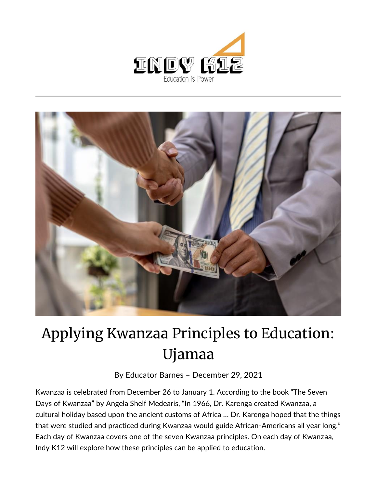



## Applying Kwanzaa Principles to Education: Ujamaa

By [Educator Barnes](https://indy.education/author/shicole/) – December 29, 2021

Kwanzaa is celebrated from December 26 to January 1. According to the book "The Seven Days of Kwanzaa" by Angela Shelf Medearis, "In 1966, Dr. Karenga created Kwanzaa, a cultural holiday based upon the ancient customs of Africa … Dr. Karenga hoped that the things that were studied and practiced during Kwanzaa would guide African-Americans all year long." Each day of Kwanzaa covers one of the seven Kwanzaa principles. On each day of Kwanzaa, Indy K12 will explore how these principles can be applied to education.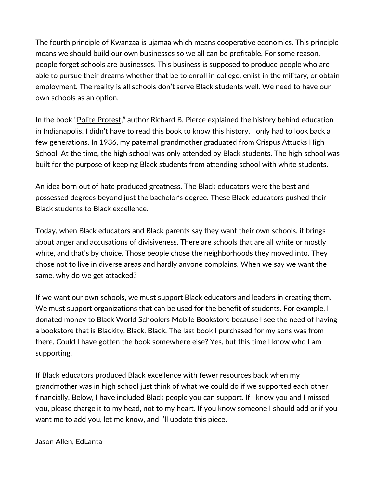The fourth principle of Kwanzaa is ujamaa which means cooperative economics. This principle means we should build our own businesses so we all can be profitable. For some reason, people forget schools are businesses. This business is supposed to produce people who are able to pursue their dreams whether that be to enroll in college, enlist in the military, or obtain employment. The reality is all schools don't serve Black students well. We need to have our own schools as an option.

In the book "[Polite Protest](https://www.amazon.com/Polite-Protest-Political-Indianapolis-1920-1970/dp/0253345871)," author Richard B. Pierce explained the history behind education in Indianapolis. I didn't have to read this book to know this history. I only had to look back a few generations. In 1936, my paternal grandmother graduated from Crispus Attucks High School. At the time, the high school was only attended by Black students. The high school was built for the purpose of keeping Black students from attending school with white students.

An idea born out of hate produced greatness. The Black educators were the best and possessed degrees beyond just the bachelor's degree. These Black educators pushed their Black students to Black excellence.

Today, when Black educators and Black parents say they want their own schools, it brings about anger and accusations of divisiveness. There are schools that are all white or mostly white, and that's by choice. Those people chose the neighborhoods they moved into. They chose not to live in diverse areas and hardly anyone complains. When we say we want the same, why do we get attacked?

If we want our own schools, we must support Black educators and leaders in creating them. We must support organizations that can be used for the benefit of students. For example, I donated money to Black World Schoolers Mobile Bookstore because I see the need of having a bookstore that is Blackity, Black, Black. The last book I purchased for my sons was from there. Could I have gotten the book somewhere else? Yes, but this time I know who I am supporting.

If Black educators produced Black excellence with fewer resources back when my grandmother was in high school just think of what we could do if we supported each other financially. Below, I have included Black people you can support. If I know you and I missed you, please charge it to my head, not to my heart. If you know someone I should add or if you want me to add you, let me know, and I'll update this piece.

## [Jason Allen, EdLanta](https://edlanta.org/)